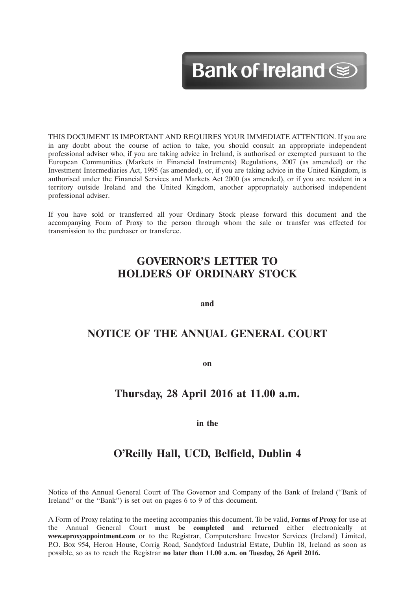# Bank of Ireland Sep

12MAR201310073563

THIS DOCUMENT IS IMPORTANT AND REQUIRES YOUR IMMEDIATE ATTENTION. If you are in any doubt about the course of action to take, you should consult an appropriate independent professional adviser who, if you are taking advice in Ireland, is authorised or exempted pursuant to the European Communities (Markets in Financial Instruments) Regulations, 2007 (as amended) or the Investment Intermediaries Act, 1995 (as amended), or, if you are taking advice in the United Kingdom, is authorised under the Financial Services and Markets Act 2000 (as amended), or if you are resident in a territory outside Ireland and the United Kingdom, another appropriately authorised independent professional adviser.

If you have sold or transferred all your Ordinary Stock please forward this document and the accompanying Form of Proxy to the person through whom the sale or transfer was effected for transmission to the purchaser or transferee.

# **GOVERNOR'S LETTER TO HOLDERS OF ORDINARY STOCK**

**and**

# **NOTICE OF THE ANNUAL GENERAL COURT**

**on**

# **Thursday, 28 April 2016 at 11.00 a.m.**

**in the**

# **O'Reilly Hall, UCD, Belfield, Dublin 4**

Notice of the Annual General Court of The Governor and Company of the Bank of Ireland (''Bank of Ireland'' or the ''Bank'') is set out on pages 6 to 9 of this document.

A Form of Proxy relating to the meeting accompanies this document. To be valid, **Forms of Proxy** for use at the Annual General Court **must be completed and returned** either electronically at **www.eproxyappointment.com** or to the Registrar, Computershare Investor Services (Ireland) Limited, P.O. Box 954, Heron House, Corrig Road, Sandyford Industrial Estate, Dublin 18, Ireland as soon as possible, so as to reach the Registrar **no later than 11.00 a.m. on Tuesday, 26 April 2016.**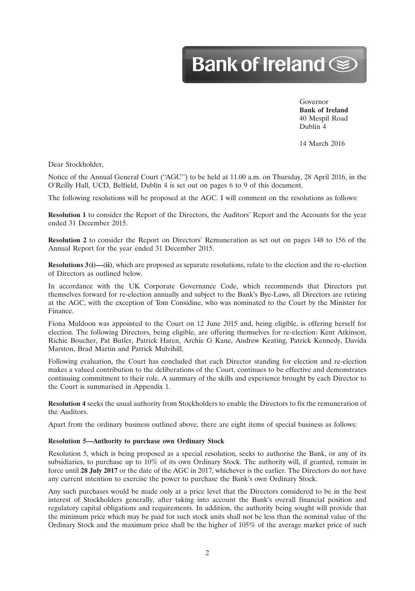# Bank of Ireland Se

Governor **Bank of Ireland** 40 Mespil Road Dublin 4

12MAR201310073563

14 March 2016

Dear Stockholder,

Notice of the Annual General Court (''AGC'') to be held at 11.00 a.m. on Thursday, 28 April 2016, in the O'Reilly Hall, UCD, Belfield, Dublin 4 is set out on pages 6 to 9 of this document.

The following resolutions will be proposed at the AGC. I will comment on the resolutions as follows:

**Resolution 1** to consider the Report of the Directors, the Auditors' Report and the Accounts for the year ended 31 December 2015.

**Resolution 2** to consider the Report on Directors' Remuneration as set out on pages 148 to 156 of the Annual Report for the year ended 31 December 2015.

**Resolutions 3(i)—(ii)**, which are proposed as separate resolutions, relate to the election and the re-election of Directors as outlined below.

In accordance with the UK Corporate Governance Code, which recommends that Directors put themselves forward for re-election annually and subject to the Bank's Bye-Laws, all Directors are retiring at the AGC, with the exception of Tom Considine, who was nominated to the Court by the Minister for Finance.

Fiona Muldoon was appointed to the Court on 12 June 2015 and, being eligible, is offering herself for election. The following Directors, being eligible, are offering themselves for re-election: Kent Atkinson, Richie Boucher, Pat Butler, Patrick Haren, Archie G Kane, Andrew Keating, Patrick Kennedy, Davida Marston, Brad Martin and Patrick Mulvihill.

Following evaluation, the Court has concluded that each Director standing for election and re-election makes a valued contribution to the deliberations of the Court, continues to be effective and demonstrates continuing commitment to their role. A summary of the skills and experience brought by each Director to the Court is summarised in Appendix 1.

**Resolution 4** seeks the usual authority from Stockholders to enable the Directors to fix the remuneration of the Auditors.

Apart from the ordinary business outlined above, there are eight items of special business as follows:

#### **Resolution 5—Authority to purchase own Ordinary Stock**

Resolution 5, which is being proposed as a special resolution, seeks to authorise the Bank, or any of its subsidiaries, to purchase up to 10% of its own Ordinary Stock. The authority will, if granted, remain in force until **28 July 2017** or the date of the AGC in 2017, whichever is the earlier. The Directors do not have any current intention to exercise the power to purchase the Bank's own Ordinary Stock.

Any such purchases would be made only at a price level that the Directors considered to be in the best interest of Stockholders generally, after taking into account the Bank's overall financial position and regulatory capital obligations and requirements. In addition, the authority being sought will provide that the minimum price which may be paid for such stock units shall not be less than the nominal value of the Ordinary Stock and the maximum price shall be the higher of 105% of the average market price of such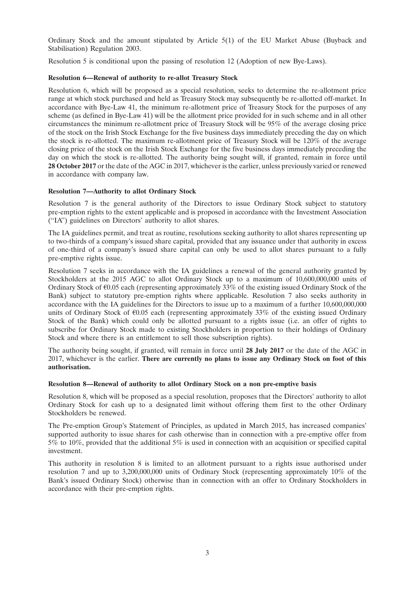Ordinary Stock and the amount stipulated by Article 5(1) of the EU Market Abuse (Buyback and Stabilisation) Regulation 2003.

Resolution 5 is conditional upon the passing of resolution 12 (Adoption of new Bye-Laws).

## **Resolution 6—Renewal of authority to re-allot Treasury Stock**

Resolution 6, which will be proposed as a special resolution, seeks to determine the re-allotment price range at which stock purchased and held as Treasury Stock may subsequently be re-allotted off-market. In accordance with Bye-Law 41, the minimum re-allotment price of Treasury Stock for the purposes of any scheme (as defined in Bye-Law 41) will be the allotment price provided for in such scheme and in all other circumstances the minimum re-allotment price of Treasury Stock will be 95% of the average closing price of the stock on the Irish Stock Exchange for the five business days immediately preceding the day on which the stock is re-allotted. The maximum re-allotment price of Treasury Stock will be 120% of the average closing price of the stock on the Irish Stock Exchange for the five business days immediately preceding the day on which the stock is re-allotted. The authority being sought will, if granted, remain in force until **28 October 2017** or the date of the AGC in 2017, whichever is the earlier, unless previously varied or renewed in accordance with company law.

# **Resolution 7—Authority to allot Ordinary Stock**

Resolution 7 is the general authority of the Directors to issue Ordinary Stock subject to statutory pre-emption rights to the extent applicable and is proposed in accordance with the Investment Association (''IA'') guidelines on Directors' authority to allot shares.

The IA guidelines permit, and treat as routine, resolutions seeking authority to allot shares representing up to two-thirds of a company's issued share capital, provided that any issuance under that authority in excess of one-third of a company's issued share capital can only be used to allot shares pursuant to a fully pre-emptive rights issue.

Resolution 7 seeks in accordance with the IA guidelines a renewal of the general authority granted by Stockholders at the 2015 AGC to allot Ordinary Stock up to a maximum of 10,600,000,000 units of Ordinary Stock of  $\epsilon$ 0.05 each (representing approximately 33% of the existing issued Ordinary Stock of the Bank) subject to statutory pre-emption rights where applicable. Resolution 7 also seeks authority in accordance with the IA guidelines for the Directors to issue up to a maximum of a further 10,600,000,000 units of Ordinary Stock of  $\epsilon$ 0.05 each (representing approximately 33% of the existing issued Ordinary Stock of the Bank) which could only be allotted pursuant to a rights issue (i.e. an offer of rights to subscribe for Ordinary Stock made to existing Stockholders in proportion to their holdings of Ordinary Stock and where there is an entitlement to sell those subscription rights).

The authority being sought, if granted, will remain in force until **28 July 2017** or the date of the AGC in 2017, whichever is the earlier. **There are currently no plans to issue any Ordinary Stock on foot of this authorisation.**

#### **Resolution 8—Renewal of authority to allot Ordinary Stock on a non pre-emptive basis**

Resolution 8, which will be proposed as a special resolution, proposes that the Directors' authority to allot Ordinary Stock for cash up to a designated limit without offering them first to the other Ordinary Stockholders be renewed.

The Pre-emption Group's Statement of Principles, as updated in March 2015, has increased companies' supported authority to issue shares for cash otherwise than in connection with a pre-emptive offer from  $5\%$  to 10%, provided that the additional 5% is used in connection with an acquisition or specified capital investment.

This authority in resolution 8 is limited to an allotment pursuant to a rights issue authorised under resolution 7 and up to 3,200,000,000 units of Ordinary Stock (representing approximately 10% of the Bank's issued Ordinary Stock) otherwise than in connection with an offer to Ordinary Stockholders in accordance with their pre-emption rights.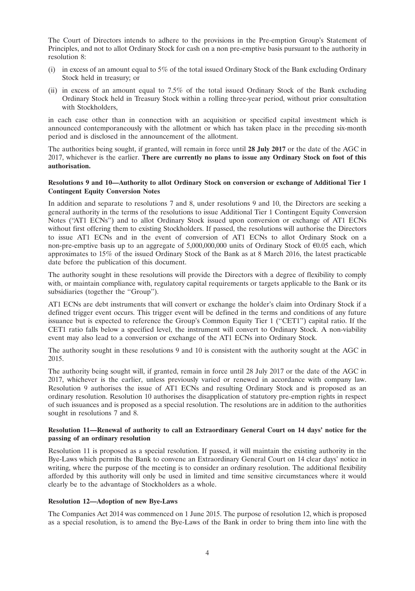The Court of Directors intends to adhere to the provisions in the Pre-emption Group's Statement of Principles, and not to allot Ordinary Stock for cash on a non pre-emptive basis pursuant to the authority in resolution 8:

- (i) in excess of an amount equal to 5% of the total issued Ordinary Stock of the Bank excluding Ordinary Stock held in treasury; or
- (ii) in excess of an amount equal to 7.5% of the total issued Ordinary Stock of the Bank excluding Ordinary Stock held in Treasury Stock within a rolling three-year period, without prior consultation with Stockholders,

in each case other than in connection with an acquisition or specified capital investment which is announced contemporaneously with the allotment or which has taken place in the preceding six-month period and is disclosed in the announcement of the allotment.

The authorities being sought, if granted, will remain in force until **28 July 2017** or the date of the AGC in 2017, whichever is the earlier. **There are currently no plans to issue any Ordinary Stock on foot of this authorisation.**

#### **Resolutions 9 and 10—Authority to allot Ordinary Stock on conversion or exchange of Additional Tier 1 Contingent Equity Conversion Notes**

In addition and separate to resolutions 7 and 8, under resolutions 9 and 10, the Directors are seeking a general authority in the terms of the resolutions to issue Additional Tier 1 Contingent Equity Conversion Notes (''AT1 ECNs'') and to allot Ordinary Stock issued upon conversion or exchange of AT1 ECNs without first offering them to existing Stockholders. If passed, the resolutions will authorise the Directors to issue AT1 ECNs and in the event of conversion of AT1 ECNs to allot Ordinary Stock on a non-pre-emptive basis up to an aggregate of 5,000,000,000 units of Ordinary Stock of  $\epsilon$ 0.05 each, which approximates to 15% of the issued Ordinary Stock of the Bank as at 8 March 2016, the latest practicable date before the publication of this document.

The authority sought in these resolutions will provide the Directors with a degree of flexibility to comply with, or maintain compliance with, regulatory capital requirements or targets applicable to the Bank or its subsidiaries (together the "Group").

AT1 ECNs are debt instruments that will convert or exchange the holder's claim into Ordinary Stock if a defined trigger event occurs. This trigger event will be defined in the terms and conditions of any future issuance but is expected to reference the Group's Common Equity Tier 1 (''CET1'') capital ratio. If the CET1 ratio falls below a specified level, the instrument will convert to Ordinary Stock. A non-viability event may also lead to a conversion or exchange of the AT1 ECNs into Ordinary Stock.

The authority sought in these resolutions 9 and 10 is consistent with the authority sought at the AGC in 2015.

The authority being sought will, if granted, remain in force until 28 July 2017 or the date of the AGC in 2017, whichever is the earlier, unless previously varied or renewed in accordance with company law. Resolution 9 authorises the issue of AT1 ECNs and resulting Ordinary Stock and is proposed as an ordinary resolution. Resolution 10 authorises the disapplication of statutory pre-emption rights in respect of such issuances and is proposed as a special resolution. The resolutions are in addition to the authorities sought in resolutions 7 and 8.

#### **Resolution 11—Renewal of authority to call an Extraordinary General Court on 14 days' notice for the passing of an ordinary resolution**

Resolution 11 is proposed as a special resolution. If passed, it will maintain the existing authority in the Bye-Laws which permits the Bank to convene an Extraordinary General Court on 14 clear days' notice in writing, where the purpose of the meeting is to consider an ordinary resolution. The additional flexibility afforded by this authority will only be used in limited and time sensitive circumstances where it would clearly be to the advantage of Stockholders as a whole.

#### **Resolution 12—Adoption of new Bye-Laws**

The Companies Act 2014 was commenced on 1 June 2015. The purpose of resolution 12, which is proposed as a special resolution, is to amend the Bye-Laws of the Bank in order to bring them into line with the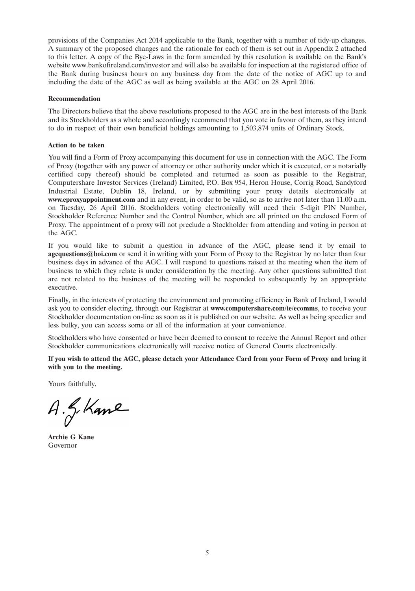provisions of the Companies Act 2014 applicable to the Bank, together with a number of tidy-up changes. A summary of the proposed changes and the rationale for each of them is set out in Appendix 2 attached to this letter. A copy of the Bye-Laws in the form amended by this resolution is available on the Bank's website www.bankofireland.com/investor and will also be available for inspection at the registered office of the Bank during business hours on any business day from the date of the notice of AGC up to and including the date of the AGC as well as being available at the AGC on 28 April 2016.

#### **Recommendation**

The Directors believe that the above resolutions proposed to the AGC are in the best interests of the Bank and its Stockholders as a whole and accordingly recommend that you vote in favour of them, as they intend to do in respect of their own beneficial holdings amounting to 1,503,874 units of Ordinary Stock.

#### **Action to be taken**

You will find a Form of Proxy accompanying this document for use in connection with the AGC. The Form of Proxy (together with any power of attorney or other authority under which it is executed, or a notarially certified copy thereof) should be completed and returned as soon as possible to the Registrar, Computershare Investor Services (Ireland) Limited, P.O. Box 954, Heron House, Corrig Road, Sandyford Industrial Estate, Dublin 18, Ireland, or by submitting your proxy details electronically at **www.eproxyappointment.com** and in any event, in order to be valid, so as to arrive not later than 11.00 a.m. on Tuesday, 26 April 2016. Stockholders voting electronically will need their 5-digit PIN Number, Stockholder Reference Number and the Control Number, which are all printed on the enclosed Form of Proxy. The appointment of a proxy will not preclude a Stockholder from attending and voting in person at the AGC.

If you would like to submit a question in advance of the AGC, please send it by email to **agcquestions@boi.com** or send it in writing with your Form of Proxy to the Registrar by no later than four business days in advance of the AGC. I will respond to questions raised at the meeting when the item of business to which they relate is under consideration by the meeting. Any other questions submitted that are not related to the business of the meeting will be responded to subsequently by an appropriate executive.

Finally, in the interests of protecting the environment and promoting efficiency in Bank of Ireland, I would ask you to consider electing, through our Registrar at **www.computershare.com/ie/ecomms**, to receive your Stockholder documentation on-line as soon as it is published on our website. As well as being speedier and less bulky, you can access some or all of the information at your convenience.

Stockholders who have consented or have been deemed to consent to receive the Annual Report and other Stockholder communications electronically will receive notice of General Courts electronically.

**If you wish to attend the AGC, please detach your Attendance Card from your Form of Proxy and bring it with you to the meeting.**

Yours faithfully,

A.G. Kane

**Archie G Kane** Governor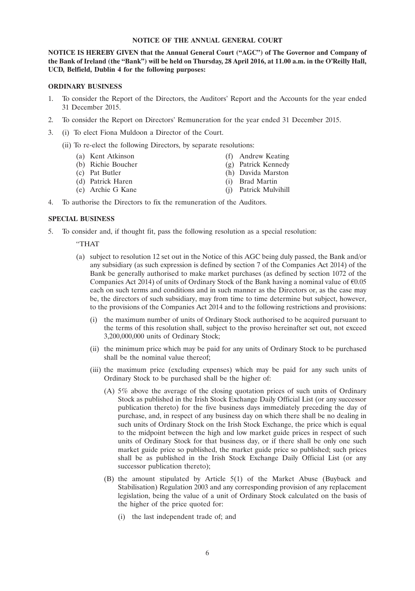#### **NOTICE OF THE ANNUAL GENERAL COURT**

**NOTICE IS HEREBY GIVEN that the Annual General Court (''AGC'') of The Governor and Company of the Bank of Ireland (the ''Bank'') will be held on Thursday, 28 April 2016, at 11.00 a.m. in the O'Reilly Hall, UCD, Belfield, Dublin 4 for the following purposes:**

#### **ORDINARY BUSINESS**

- 1. To consider the Report of the Directors, the Auditors' Report and the Accounts for the year ended 31 December 2015.
- 2. To consider the Report on Directors' Remuneration for the year ended 31 December 2015.
- 3. (i) To elect Fiona Muldoon a Director of the Court.
	- (ii) To re-elect the following Directors, by separate resolutions:
		- (a) Kent Atkinson (f) Andrew Keating
		- (b) Richie Boucher (g) Patrick Kennedy
		-
		- (d) Patrick Haren
		- (e) Archie G Kane (j) Patrick Mulvihill
- 
- - (c) Pat Butler (h) Davida Marston<br>
	(d) Patrick Haren (i) Brad Martin
		-
		-
- 4. To authorise the Directors to fix the remuneration of the Auditors.

#### **SPECIAL BUSINESS**

- 5. To consider and, if thought fit, pass the following resolution as a special resolution:
	- ''THAT
	- (a) subject to resolution 12 set out in the Notice of this AGC being duly passed, the Bank and/or any subsidiary (as such expression is defined by section 7 of the Companies Act 2014) of the Bank be generally authorised to make market purchases (as defined by section 1072 of the Companies Act 2014) of units of Ordinary Stock of the Bank having a nominal value of  $\epsilon$ 0.05 each on such terms and conditions and in such manner as the Directors or, as the case may be, the directors of such subsidiary, may from time to time determine but subject, however, to the provisions of the Companies Act 2014 and to the following restrictions and provisions:
		- (i) the maximum number of units of Ordinary Stock authorised to be acquired pursuant to the terms of this resolution shall, subject to the proviso hereinafter set out, not exceed 3,200,000,000 units of Ordinary Stock;
		- (ii) the minimum price which may be paid for any units of Ordinary Stock to be purchased shall be the nominal value thereof;
		- (iii) the maximum price (excluding expenses) which may be paid for any such units of Ordinary Stock to be purchased shall be the higher of:
			- (A) 5% above the average of the closing quotation prices of such units of Ordinary Stock as published in the Irish Stock Exchange Daily Official List (or any successor publication thereto) for the five business days immediately preceding the day of purchase, and, in respect of any business day on which there shall be no dealing in such units of Ordinary Stock on the Irish Stock Exchange, the price which is equal to the midpoint between the high and low market guide prices in respect of such units of Ordinary Stock for that business day, or if there shall be only one such market guide price so published, the market guide price so published; such prices shall be as published in the Irish Stock Exchange Daily Official List (or any successor publication thereto);
			- (B) the amount stipulated by Article 5(1) of the Market Abuse (Buyback and Stabilisation) Regulation 2003 and any corresponding provision of any replacement legislation, being the value of a unit of Ordinary Stock calculated on the basis of the higher of the price quoted for:
				- (i) the last independent trade of; and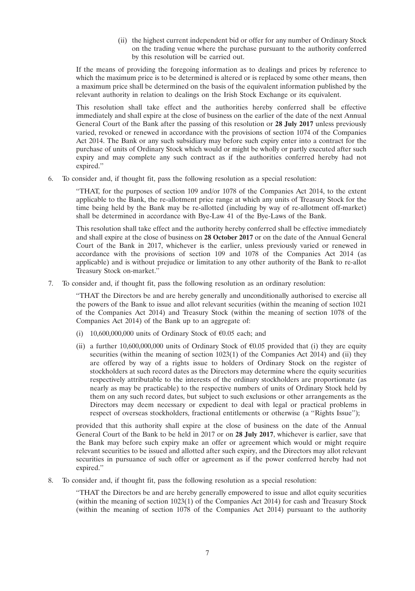(ii) the highest current independent bid or offer for any number of Ordinary Stock on the trading venue where the purchase pursuant to the authority conferred by this resolution will be carried out.

If the means of providing the foregoing information as to dealings and prices by reference to which the maximum price is to be determined is altered or is replaced by some other means, then a maximum price shall be determined on the basis of the equivalent information published by the relevant authority in relation to dealings on the Irish Stock Exchange or its equivalent.

This resolution shall take effect and the authorities hereby conferred shall be effective immediately and shall expire at the close of business on the earlier of the date of the next Annual General Court of the Bank after the passing of this resolution or **28 July 2017** unless previously varied, revoked or renewed in accordance with the provisions of section 1074 of the Companies Act 2014. The Bank or any such subsidiary may before such expiry enter into a contract for the purchase of units of Ordinary Stock which would or might be wholly or partly executed after such expiry and may complete any such contract as if the authorities conferred hereby had not expired.''

6. To consider and, if thought fit, pass the following resolution as a special resolution:

''THAT, for the purposes of section 109 and/or 1078 of the Companies Act 2014, to the extent applicable to the Bank, the re-allotment price range at which any units of Treasury Stock for the time being held by the Bank may be re-allotted (including by way of re-allotment off-market) shall be determined in accordance with Bye-Law 41 of the Bye-Laws of the Bank.

This resolution shall take effect and the authority hereby conferred shall be effective immediately and shall expire at the close of business on **28 October 2017** or on the date of the Annual General Court of the Bank in 2017, whichever is the earlier, unless previously varied or renewed in accordance with the provisions of section 109 and 1078 of the Companies Act 2014 (as applicable) and is without prejudice or limitation to any other authority of the Bank to re-allot Treasury Stock on-market.''

7. To consider and, if thought fit, pass the following resolution as an ordinary resolution:

''THAT the Directors be and are hereby generally and unconditionally authorised to exercise all the powers of the Bank to issue and allot relevant securities (within the meaning of section 1021 of the Companies Act 2014) and Treasury Stock (within the meaning of section 1078 of the Companies Act 2014) of the Bank up to an aggregate of:

- (i) 10,600,000,000 units of Ordinary Stock of  $\epsilon$ 0.05 each; and
- (ii) a further 10,600,000,000 units of Ordinary Stock of  $\epsilon$ 0.05 provided that (i) they are equity securities (within the meaning of section 1023(1) of the Companies Act 2014) and (ii) they are offered by way of a rights issue to holders of Ordinary Stock on the register of stockholders at such record dates as the Directors may determine where the equity securities respectively attributable to the interests of the ordinary stockholders are proportionate (as nearly as may be practicable) to the respective numbers of units of Ordinary Stock held by them on any such record dates, but subject to such exclusions or other arrangements as the Directors may deem necessary or expedient to deal with legal or practical problems in respect of overseas stockholders, fractional entitlements or otherwise (a "Rights Issue");

provided that this authority shall expire at the close of business on the date of the Annual General Court of the Bank to be held in 2017 or on **28 July 2017**, whichever is earlier, save that the Bank may before such expiry make an offer or agreement which would or might require relevant securities to be issued and allotted after such expiry, and the Directors may allot relevant securities in pursuance of such offer or agreement as if the power conferred hereby had not expired.''

8. To consider and, if thought fit, pass the following resolution as a special resolution:

''THAT the Directors be and are hereby generally empowered to issue and allot equity securities (within the meaning of section 1023(1) of the Companies Act 2014) for cash and Treasury Stock (within the meaning of section 1078 of the Companies Act 2014) pursuant to the authority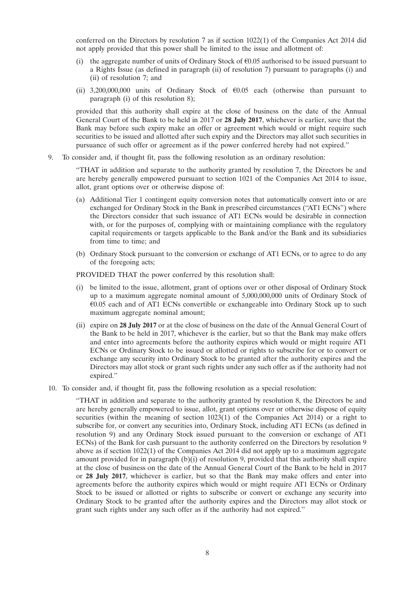conferred on the Directors by resolution 7 as if section 1022(1) of the Companies Act 2014 did not apply provided that this power shall be limited to the issue and allotment of:

- (i) the aggregate number of units of Ordinary Stock of  $\epsilon 0.05$  authorised to be issued pursuant to a Rights Issue (as defined in paragraph (ii) of resolution 7) pursuant to paragraphs (i) and (ii) of resolution 7; and
- (ii) 3,200,000,000 units of Ordinary Stock of  $\epsilon$ 0.05 each (otherwise than pursuant to paragraph (i) of this resolution 8);

provided that this authority shall expire at the close of business on the date of the Annual General Court of the Bank to be held in 2017 or **28 July 2017**, whichever is earlier, save that the Bank may before such expiry make an offer or agreement which would or might require such securities to be issued and allotted after such expiry and the Directors may allot such securities in pursuance of such offer or agreement as if the power conferred hereby had not expired.''

9. To consider and, if thought fit, pass the following resolution as an ordinary resolution:

''THAT in addition and separate to the authority granted by resolution 7, the Directors be and are hereby generally empowered pursuant to section 1021 of the Companies Act 2014 to issue, allot, grant options over or otherwise dispose of:

- (a) Additional Tier 1 contingent equity conversion notes that automatically convert into or are exchanged for Ordinary Stock in the Bank in prescribed circumstances (''AT1 ECNs'') where the Directors consider that such issuance of AT1 ECNs would be desirable in connection with, or for the purposes of, complying with or maintaining compliance with the regulatory capital requirements or targets applicable to the Bank and/or the Bank and its subsidiaries from time to time; and
- (b) Ordinary Stock pursuant to the conversion or exchange of AT1 ECNs, or to agree to do any of the foregoing acts;

PROVIDED THAT the power conferred by this resolution shall:

- (i) be limited to the issue, allotment, grant of options over or other disposal of Ordinary Stock up to a maximum aggregate nominal amount of 5,000,000,000 units of Ordinary Stock of  $60.05$  each and of AT1 ECNs convertible or exchangeable into Ordinary Stock up to such maximum aggregate nominal amount;
- (ii) expire on **28 July 2017** or at the close of business on the date of the Annual General Court of the Bank to be held in 2017, whichever is the earlier, but so that the Bank may make offers and enter into agreements before the authority expires which would or might require AT1 ECNs or Ordinary Stock to be issued or allotted or rights to subscribe for or to convert or exchange any security into Ordinary Stock to be granted after the authority expires and the Directors may allot stock or grant such rights under any such offer as if the authority had not expired.''
- 10. To consider and, if thought fit, pass the following resolution as a special resolution:

''THAT in addition and separate to the authority granted by resolution 8, the Directors be and are hereby generally empowered to issue, allot, grant options over or otherwise dispose of equity securities (within the meaning of section 1023(1) of the Companies Act 2014) or a right to subscribe for, or convert any securities into, Ordinary Stock, including AT1 ECNs (as defined in resolution 9) and any Ordinary Stock issued pursuant to the conversion or exchange of AT1 ECNs) of the Bank for cash pursuant to the authority conferred on the Directors by resolution 9 above as if section 1022(1) of the Companies Act 2014 did not apply up to a maximum aggregate amount provided for in paragraph  $(b)(i)$  of resolution 9, provided that this authority shall expire at the close of business on the date of the Annual General Court of the Bank to be held in 2017 or **28 July 2017**, whichever is earlier, but so that the Bank may make offers and enter into agreements before the authority expires which would or might require AT1 ECNs or Ordinary Stock to be issued or allotted or rights to subscribe or convert or exchange any security into Ordinary Stock to be granted after the authority expires and the Directors may allot stock or grant such rights under any such offer as if the authority had not expired.''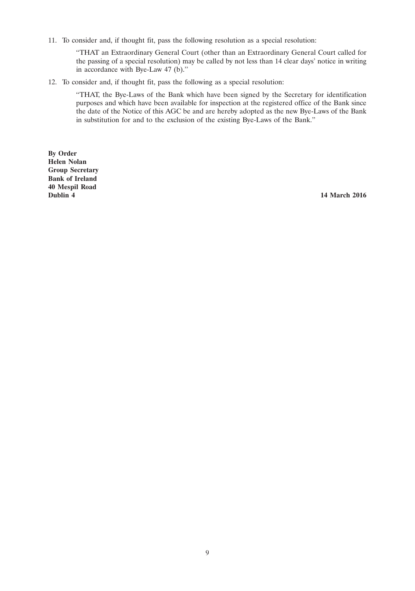11. To consider and, if thought fit, pass the following resolution as a special resolution:

''THAT an Extraordinary General Court (other than an Extraordinary General Court called for the passing of a special resolution) may be called by not less than 14 clear days' notice in writing in accordance with Bye-Law 47 (b).''

12. To consider and, if thought fit, pass the following as a special resolution:

''THAT, the Bye-Laws of the Bank which have been signed by the Secretary for identification purposes and which have been available for inspection at the registered office of the Bank since the date of the Notice of this AGC be and are hereby adopted as the new Bye-Laws of the Bank in substitution for and to the exclusion of the existing Bye-Laws of the Bank.''

**By Order Helen Nolan Group Secretary Bank of Ireland 40 Mespil Road**

**14 March 2016**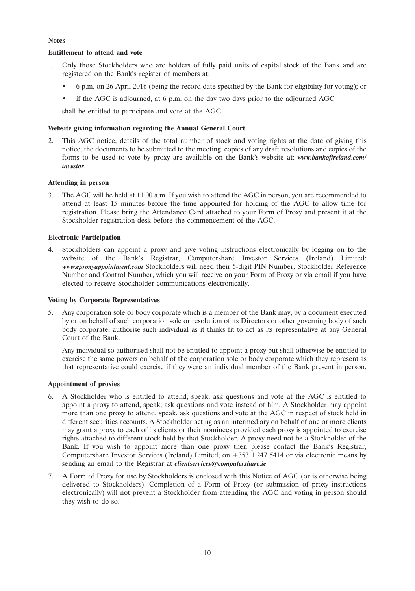# **Notes**

# **Entitlement to attend and vote**

- 1. Only those Stockholders who are holders of fully paid units of capital stock of the Bank and are registered on the Bank's register of members at:
	- 6 p.m. on 26 April 2016 (being the record date specified by the Bank for eligibility for voting); or
	- if the AGC is adjourned, at 6 p.m. on the day two days prior to the adjourned AGC

shall be entitled to participate and vote at the AGC.

# **Website giving information regarding the Annual General Court**

2. This AGC notice, details of the total number of stock and voting rights at the date of giving this notice, the documents to be submitted to the meeting, copies of any draft resolutions and copies of the forms to be used to vote by proxy are available on the Bank's website at: *www.bankofireland.com/ investor*.

# **Attending in person**

3. The AGC will be held at 11.00 a.m. If you wish to attend the AGC in person, you are recommended to attend at least 15 minutes before the time appointed for holding of the AGC to allow time for registration. Please bring the Attendance Card attached to your Form of Proxy and present it at the Stockholder registration desk before the commencement of the AGC.

# **Electronic Participation**

4. Stockholders can appoint a proxy and give voting instructions electronically by logging on to the website of the Bank's Registrar, Computershare Investor Services (Ireland) Limited: *www.eproxyappointment.com* Stockholders will need their 5-digit PIN Number, Stockholder Reference Number and Control Number, which you will receive on your Form of Proxy or via email if you have elected to receive Stockholder communications electronically.

#### **Voting by Corporate Representatives**

5. Any corporation sole or body corporate which is a member of the Bank may, by a document executed by or on behalf of such corporation sole or resolution of its Directors or other governing body of such body corporate, authorise such individual as it thinks fit to act as its representative at any General Court of the Bank.

Any individual so authorised shall not be entitled to appoint a proxy but shall otherwise be entitled to exercise the same powers on behalf of the corporation sole or body corporate which they represent as that representative could exercise if they were an individual member of the Bank present in person.

## **Appointment of proxies**

- 6. A Stockholder who is entitled to attend, speak, ask questions and vote at the AGC is entitled to appoint a proxy to attend, speak, ask questions and vote instead of him. A Stockholder may appoint more than one proxy to attend, speak, ask questions and vote at the AGC in respect of stock held in different securities accounts. A Stockholder acting as an intermediary on behalf of one or more clients may grant a proxy to each of its clients or their nominees provided each proxy is appointed to exercise rights attached to different stock held by that Stockholder. A proxy need not be a Stockholder of the Bank. If you wish to appoint more than one proxy then please contact the Bank's Registrar, Computershare Investor Services (Ireland) Limited, on +353 1 247 5414 or via electronic means by sending an email to the Registrar at *clientservices@computershare.ie*
- 7. A Form of Proxy for use by Stockholders is enclosed with this Notice of AGC (or is otherwise being delivered to Stockholders). Completion of a Form of Proxy (or submission of proxy instructions electronically) will not prevent a Stockholder from attending the AGC and voting in person should they wish to do so.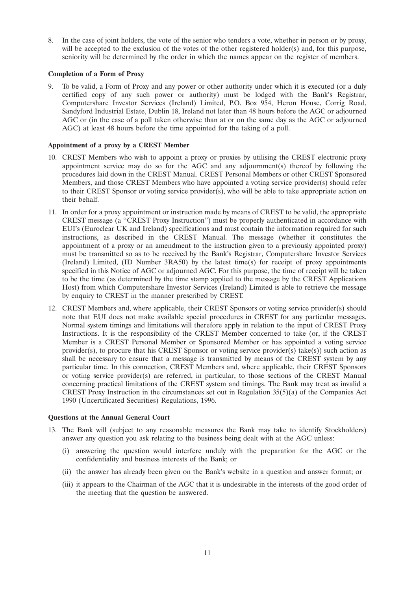8. In the case of joint holders, the vote of the senior who tenders a vote, whether in person or by proxy, will be accepted to the exclusion of the votes of the other registered holder(s) and, for this purpose, seniority will be determined by the order in which the names appear on the register of members.

#### **Completion of a Form of Proxy**

9. To be valid, a Form of Proxy and any power or other authority under which it is executed (or a duly certified copy of any such power or authority) must be lodged with the Bank's Registrar, Computershare Investor Services (Ireland) Limited, P.O. Box 954, Heron House, Corrig Road, Sandyford Industrial Estate, Dublin 18, Ireland not later than 48 hours before the AGC or adjourned AGC or (in the case of a poll taken otherwise than at or on the same day as the AGC or adjourned AGC) at least 48 hours before the time appointed for the taking of a poll.

#### **Appointment of a proxy by a CREST Member**

- 10. CREST Members who wish to appoint a proxy or proxies by utilising the CREST electronic proxy appointment service may do so for the AGC and any adjournment(s) thereof by following the procedures laid down in the CREST Manual. CREST Personal Members or other CREST Sponsored Members, and those CREST Members who have appointed a voting service provider(s) should refer to their CREST Sponsor or voting service provider(s), who will be able to take appropriate action on their behalf.
- 11. In order for a proxy appointment or instruction made by means of CREST to be valid, the appropriate CREST message (a ''CREST Proxy Instruction'') must be properly authenticated in accordance with EUI's (Euroclear UK and Ireland) specifications and must contain the information required for such instructions, as described in the CREST Manual. The message (whether it constitutes the appointment of a proxy or an amendment to the instruction given to a previously appointed proxy) must be transmitted so as to be received by the Bank's Registrar, Computershare Investor Services (Ireland) Limited, (ID Number 3RA50) by the latest time(s) for receipt of proxy appointments specified in this Notice of AGC or adjourned AGC. For this purpose, the time of receipt will be taken to be the time (as determined by the time stamp applied to the message by the CREST Applications Host) from which Computershare Investor Services (Ireland) Limited is able to retrieve the message by enquiry to CREST in the manner prescribed by CREST.
- 12. CREST Members and, where applicable, their CREST Sponsors or voting service provider(s) should note that EUI does not make available special procedures in CREST for any particular messages. Normal system timings and limitations will therefore apply in relation to the input of CREST Proxy Instructions. It is the responsibility of the CREST Member concerned to take (or, if the CREST Member is a CREST Personal Member or Sponsored Member or has appointed a voting service provider(s), to procure that his CREST Sponsor or voting service provider(s) take(s)) such action as shall be necessary to ensure that a message is transmitted by means of the CREST system by any particular time. In this connection, CREST Members and, where applicable, their CREST Sponsors or voting service provider(s) are referred, in particular, to those sections of the CREST Manual concerning practical limitations of the CREST system and timings. The Bank may treat as invalid a CREST Proxy Instruction in the circumstances set out in Regulation  $35(5)(a)$  of the Companies Act 1990 (Uncertificated Securities) Regulations, 1996.

#### **Questions at the Annual General Court**

- 13. The Bank will (subject to any reasonable measures the Bank may take to identify Stockholders) answer any question you ask relating to the business being dealt with at the AGC unless:
	- (i) answering the question would interfere unduly with the preparation for the AGC or the confidentiality and business interests of the Bank; or
	- (ii) the answer has already been given on the Bank's website in a question and answer format; or
	- (iii) it appears to the Chairman of the AGC that it is undesirable in the interests of the good order of the meeting that the question be answered.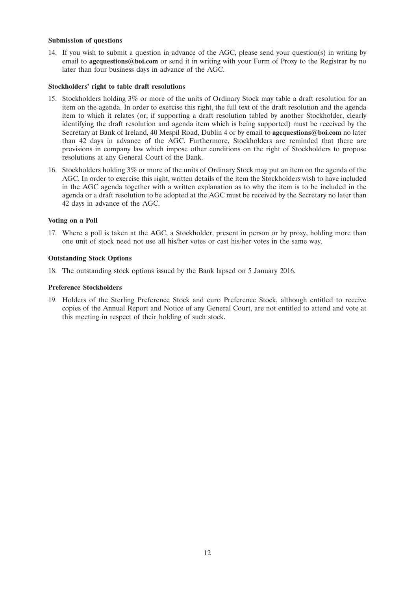#### **Submission of questions**

14. If you wish to submit a question in advance of the AGC, please send your question(s) in writing by email to **agcquestions@boi.com** or send it in writing with your Form of Proxy to the Registrar by no later than four business days in advance of the AGC.

#### **Stockholders' right to table draft resolutions**

- 15. Stockholders holding 3% or more of the units of Ordinary Stock may table a draft resolution for an item on the agenda. In order to exercise this right, the full text of the draft resolution and the agenda item to which it relates (or, if supporting a draft resolution tabled by another Stockholder, clearly identifying the draft resolution and agenda item which is being supported) must be received by the Secretary at Bank of Ireland, 40 Mespil Road, Dublin 4 or by email to **agcquestions@boi.com** no later than 42 days in advance of the AGC. Furthermore, Stockholders are reminded that there are provisions in company law which impose other conditions on the right of Stockholders to propose resolutions at any General Court of the Bank.
- 16. Stockholders holding 3% or more of the units of Ordinary Stock may put an item on the agenda of the AGC. In order to exercise this right, written details of the item the Stockholders wish to have included in the AGC agenda together with a written explanation as to why the item is to be included in the agenda or a draft resolution to be adopted at the AGC must be received by the Secretary no later than 42 days in advance of the AGC.

#### **Voting on a Poll**

17. Where a poll is taken at the AGC, a Stockholder, present in person or by proxy, holding more than one unit of stock need not use all his/her votes or cast his/her votes in the same way.

#### **Outstanding Stock Options**

18. The outstanding stock options issued by the Bank lapsed on 5 January 2016.

#### **Preference Stockholders**

19. Holders of the Sterling Preference Stock and euro Preference Stock, although entitled to receive copies of the Annual Report and Notice of any General Court, are not entitled to attend and vote at this meeting in respect of their holding of such stock.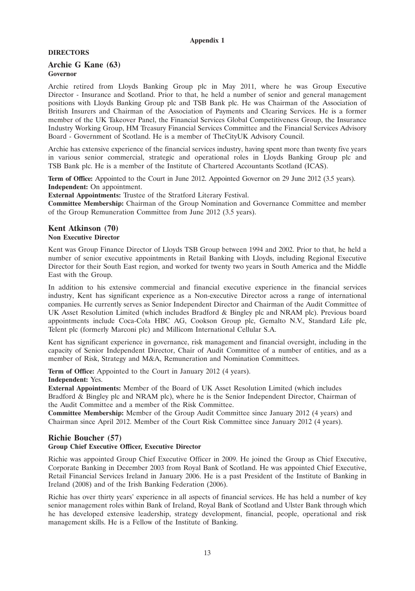## **Appendix 1**

# **DIRECTORS**

# **Archie G Kane (63) Governor**

Archie retired from Lloyds Banking Group plc in May 2011, where he was Group Executive Director - Insurance and Scotland. Prior to that, he held a number of senior and general management positions with Lloyds Banking Group plc and TSB Bank plc. He was Chairman of the Association of British Insurers and Chairman of the Association of Payments and Clearing Services. He is a former member of the UK Takeover Panel, the Financial Services Global Competitiveness Group, the Insurance Industry Working Group, HM Treasury Financial Services Committee and the Financial Services Advisory Board - Government of Scotland. He is a member of TheCityUK Advisory Council.

Archie has extensive experience of the financial services industry, having spent more than twenty five years in various senior commercial, strategic and operational roles in Lloyds Banking Group plc and TSB Bank plc. He is a member of the Institute of Chartered Accountants Scotland (ICAS).

**Term of Office:** Appointed to the Court in June 2012. Appointed Governor on 29 June 2012 (3.5 years). **Independent:** On appointment.

**External Appointments:** Trustee of the Stratford Literary Festival.

**Committee Membership:** Chairman of the Group Nomination and Governance Committee and member of the Group Remuneration Committee from June 2012 (3.5 years).

# **Kent Atkinson (70) Non Executive Director**

Kent was Group Finance Director of Lloyds TSB Group between 1994 and 2002. Prior to that, he held a number of senior executive appointments in Retail Banking with Lloyds, including Regional Executive Director for their South East region, and worked for twenty two years in South America and the Middle East with the Group.

In addition to his extensive commercial and financial executive experience in the financial services industry, Kent has significant experience as a Non-executive Director across a range of international companies. He currently serves as Senior Independent Director and Chairman of the Audit Committee of UK Asset Resolution Limited (which includes Bradford & Bingley plc and NRAM plc). Previous board appointments include Coca-Cola HBC AG, Cookson Group plc, Gemalto N.V., Standard Life plc, Telent plc (formerly Marconi plc) and Millicom International Cellular S.A.

Kent has significant experience in governance, risk management and financial oversight, including in the capacity of Senior Independent Director, Chair of Audit Committee of a number of entities, and as a member of Risk, Strategy and M&A, Remuneration and Nomination Committees.

**Term of Office:** Appointed to the Court in January 2012 (4 years).

#### **Independent:** Yes.

**External Appointments:** Member of the Board of UK Asset Resolution Limited (which includes Bradford & Bingley plc and NRAM plc), where he is the Senior Independent Director, Chairman of the Audit Committee and a member of the Risk Committee.

**Committee Membership:** Member of the Group Audit Committee since January 2012 (4 years) and Chairman since April 2012. Member of the Court Risk Committee since January 2012 (4 years).

# **Richie Boucher (57)**

# **Group Chief Executive Officer, Executive Director**

Richie was appointed Group Chief Executive Officer in 2009. He joined the Group as Chief Executive, Corporate Banking in December 2003 from Royal Bank of Scotland. He was appointed Chief Executive, Retail Financial Services Ireland in January 2006. He is a past President of the Institute of Banking in Ireland (2008) and of the Irish Banking Federation (2006).

Richie has over thirty years' experience in all aspects of financial services. He has held a number of key senior management roles within Bank of Ireland, Royal Bank of Scotland and Ulster Bank through which he has developed extensive leadership, strategy development, financial, people, operational and risk management skills. He is a Fellow of the Institute of Banking.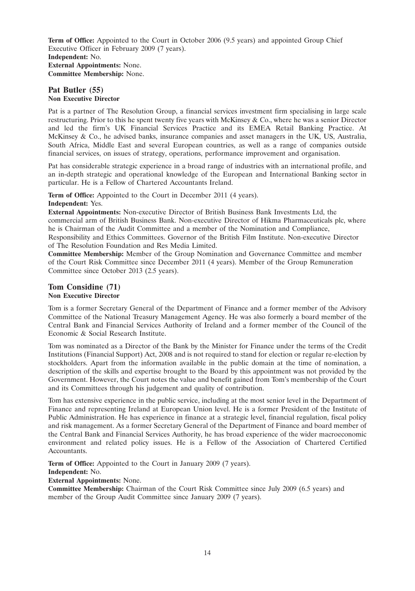**Term of Office:** Appointed to the Court in October 2006 (9.5 years) and appointed Group Chief Executive Officer in February 2009 (7 years). **Independent:** No. **External Appointments:** None. **Committee Membership:** None.

# **Pat Butler (55) Non Executive Director**

Pat is a partner of The Resolution Group, a financial services investment firm specialising in large scale restructuring. Prior to this he spent twenty five years with McKinsey & Co., where he was a senior Director and led the firm's UK Financial Services Practice and its EMEA Retail Banking Practice. At McKinsey & Co., he advised banks, insurance companies and asset managers in the UK, US, Australia, South Africa, Middle East and several European countries, as well as a range of companies outside financial services, on issues of strategy, operations, performance improvement and organisation.

Pat has considerable strategic experience in a broad range of industries with an international profile, and an in-depth strategic and operational knowledge of the European and International Banking sector in particular. He is a Fellow of Chartered Accountants Ireland.

**Term of Office:** Appointed to the Court in December 2011 (4 years). **Independent:** Yes.

**External Appointments:** Non-executive Director of British Business Bank Investments Ltd, the commercial arm of British Business Bank. Non-executive Director of Hikma Pharmaceuticals plc, where he is Chairman of the Audit Committee and a member of the Nomination and Compliance, Responsibility and Ethics Committees. Governor of the British Film Institute. Non-executive Director of The Resolution Foundation and Res Media Limited.

**Committee Membership:** Member of the Group Nomination and Governance Committee and member of the Court Risk Committee since December 2011 (4 years). Member of the Group Remuneration Committee since October 2013 (2.5 years).

# **Tom Considine (71)**

# **Non Executive Director**

Tom is a former Secretary General of the Department of Finance and a former member of the Advisory Committee of the National Treasury Management Agency. He was also formerly a board member of the Central Bank and Financial Services Authority of Ireland and a former member of the Council of the Economic & Social Research Institute.

Tom was nominated as a Director of the Bank by the Minister for Finance under the terms of the Credit Institutions (Financial Support) Act, 2008 and is not required to stand for election or regular re-election by stockholders. Apart from the information available in the public domain at the time of nomination, a description of the skills and expertise brought to the Board by this appointment was not provided by the Government. However, the Court notes the value and benefit gained from Tom's membership of the Court and its Committees through his judgement and quality of contribution.

Tom has extensive experience in the public service, including at the most senior level in the Department of Finance and representing Ireland at European Union level. He is a former President of the Institute of Public Administration. He has experience in finance at a strategic level, financial regulation, fiscal policy and risk management. As a former Secretary General of the Department of Finance and board member of the Central Bank and Financial Services Authority, he has broad experience of the wider macroeconomic environment and related policy issues. He is a Fellow of the Association of Chartered Certified Accountants.

**Term of Office:** Appointed to the Court in January 2009 (7 years). **Independent:** No. **External Appointments:** None. **Committee Membership:** Chairman of the Court Risk Committee since July 2009 (6.5 years) and

member of the Group Audit Committee since January 2009 (7 years).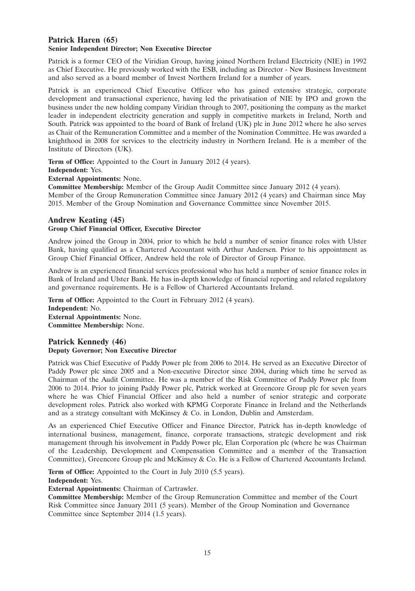# **Patrick Haren (65) Senior Independent Director; Non Executive Director**

Patrick is a former CEO of the Viridian Group, having joined Northern Ireland Electricity (NIE) in 1992 as Chief Executive. He previously worked with the ESB, including as Director - New Business Investment and also served as a board member of Invest Northern Ireland for a number of years.

Patrick is an experienced Chief Executive Officer who has gained extensive strategic, corporate development and transactional experience, having led the privatisation of NIE by IPO and grown the business under the new holding company Viridian through to 2007, positioning the company as the market leader in independent electricity generation and supply in competitive markets in Ireland, North and South. Patrick was appointed to the board of Bank of Ireland (UK) plc in June 2012 where he also serves as Chair of the Remuneration Committee and a member of the Nomination Committee. He was awarded a knighthood in 2008 for services to the electricity industry in Northern Ireland. He is a member of the Institute of Directors (UK).

**Term of Office:** Appointed to the Court in January 2012 (4 years). **Independent:** Yes.

**External Appointments:** None.

**Committee Membership:** Member of the Group Audit Committee since January 2012 (4 years). Member of the Group Remuneration Committee since January 2012 (4 years) and Chairman since May 2015. Member of the Group Nomination and Governance Committee since November 2015.

# **Andrew Keating (45) Group Chief Financial Officer, Executive Director**

Andrew joined the Group in 2004, prior to which he held a number of senior finance roles with Ulster Bank, having qualified as a Chartered Accountant with Arthur Andersen. Prior to his appointment as Group Chief Financial Officer, Andrew held the role of Director of Group Finance.

Andrew is an experienced financial services professional who has held a number of senior finance roles in Bank of Ireland and Ulster Bank. He has in-depth knowledge of financial reporting and related regulatory and governance requirements. He is a Fellow of Chartered Accountants Ireland.

**Term of Office:** Appointed to the Court in February 2012 (4 years). **Independent:** No. **External Appointments:** None. **Committee Membership:** None.

# **Patrick Kennedy (46) Deputy Governor; Non Executive Director**

Patrick was Chief Executive of Paddy Power plc from 2006 to 2014. He served as an Executive Director of Paddy Power plc since 2005 and a Non-executive Director since 2004, during which time he served as Chairman of the Audit Committee. He was a member of the Risk Committee of Paddy Power plc from 2006 to 2014. Prior to joining Paddy Power plc, Patrick worked at Greencore Group plc for seven years where he was Chief Financial Officer and also held a number of senior strategic and corporate development roles. Patrick also worked with KPMG Corporate Finance in Ireland and the Netherlands and as a strategy consultant with McKinsey  $\&$  Co. in London, Dublin and Amsterdam.

As an experienced Chief Executive Officer and Finance Director, Patrick has in-depth knowledge of international business, management, finance, corporate transactions, strategic development and risk management through his involvement in Paddy Power plc, Elan Corporation plc (where he was Chairman of the Leadership, Development and Compensation Committee and a member of the Transaction Committee), Greencore Group plc and McKinsey & Co. He is a Fellow of Chartered Accountants Ireland.

**Term of Office:** Appointed to the Court in July 2010 (5.5 years). **Independent:** Yes.

**External Appointments:** Chairman of Cartrawler.

**Committee Membership:** Member of the Group Remuneration Committee and member of the Court Risk Committee since January 2011 (5 years). Member of the Group Nomination and Governance Committee since September 2014 (1.5 years).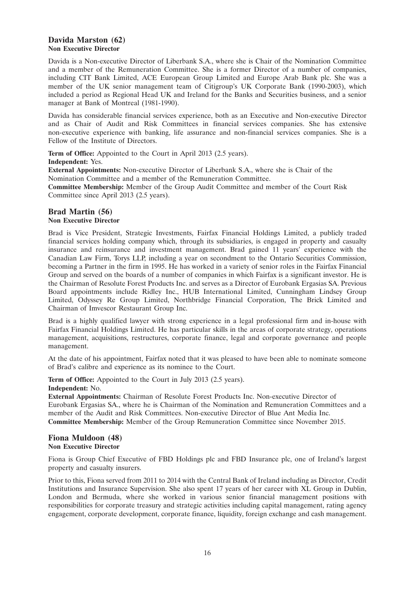## **Davida Marston (62) Non Executive Director**

Davida is a Non-executive Director of Liberbank S.A., where she is Chair of the Nomination Committee and a member of the Remuneration Committee. She is a former Director of a number of companies, including CIT Bank Limited, ACE European Group Limited and Europe Arab Bank plc. She was a member of the UK senior management team of Citigroup's UK Corporate Bank (1990-2003), which included a period as Regional Head UK and Ireland for the Banks and Securities business, and a senior manager at Bank of Montreal (1981-1990).

Davida has considerable financial services experience, both as an Executive and Non-executive Director and as Chair of Audit and Risk Committees in financial services companies. She has extensive non-executive experience with banking, life assurance and non-financial services companies. She is a Fellow of the Institute of Directors.

**Term of Office:** Appointed to the Court in April 2013 (2.5 years). **Independent:** Yes.

**External Appointments:** Non-executive Director of Liberbank S.A., where she is Chair of the Nomination Committee and a member of the Remuneration Committee.

**Committee Membership:** Member of the Group Audit Committee and member of the Court Risk Committee since April 2013 (2.5 years).

# **Brad Martin (56)**

# **Non Executive Director**

Brad is Vice President, Strategic Investments, Fairfax Financial Holdings Limited, a publicly traded financial services holding company which, through its subsidiaries, is engaged in property and casualty insurance and reinsurance and investment management. Brad gained 11 years' experience with the Canadian Law Firm, Torys LLP, including a year on secondment to the Ontario Securities Commission, becoming a Partner in the firm in 1995. He has worked in a variety of senior roles in the Fairfax Financial Group and served on the boards of a number of companies in which Fairfax is a significant investor. He is the Chairman of Resolute Forest Products Inc. and serves as a Director of Eurobank Ergasias SA. Previous Board appointments include Ridley Inc., HUB International Limited, Cunningham Lindsey Group Limited, Odyssey Re Group Limited, Northbridge Financial Corporation, The Brick Limited and Chairman of Imvescor Restaurant Group Inc.

Brad is a highly qualified lawyer with strong experience in a legal professional firm and in-house with Fairfax Financial Holdings Limited. He has particular skills in the areas of corporate strategy, operations management, acquisitions, restructures, corporate finance, legal and corporate governance and people management.

At the date of his appointment, Fairfax noted that it was pleased to have been able to nominate someone of Brad's calibre and experience as its nominee to the Court.

**Term of Office:** Appointed to the Court in July 2013 (2.5 years). **Independent:** No.

**External Appointments:** Chairman of Resolute Forest Products Inc. Non-executive Director of Eurobank Ergasias SA., where he is Chairman of the Nomination and Remuneration Committees and a member of the Audit and Risk Committees. Non-executive Director of Blue Ant Media Inc. **Committee Membership:** Member of the Group Remuneration Committee since November 2015.

### **Fiona Muldoon (48) Non Executive Director**

Fiona is Group Chief Executive of FBD Holdings plc and FBD Insurance plc, one of Ireland's largest property and casualty insurers.

Prior to this, Fiona served from 2011 to 2014 with the Central Bank of Ireland including as Director, Credit Institutions and Insurance Supervision. She also spent 17 years of her career with XL Group in Dublin, London and Bermuda, where she worked in various senior financial management positions with responsibilities for corporate treasury and strategic activities including capital management, rating agency engagement, corporate development, corporate finance, liquidity, foreign exchange and cash management.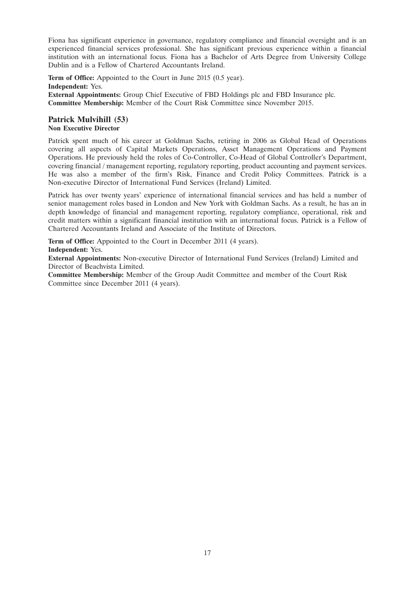Fiona has significant experience in governance, regulatory compliance and financial oversight and is an experienced financial services professional. She has significant previous experience within a financial institution with an international focus. Fiona has a Bachelor of Arts Degree from University College Dublin and is a Fellow of Chartered Accountants Ireland.

**Term of Office:** Appointed to the Court in June 2015 (0.5 year). **Independent:** Yes. **External Appointments:** Group Chief Executive of FBD Holdings plc and FBD Insurance plc. **Committee Membership:** Member of the Court Risk Committee since November 2015.

# **Patrick Mulvihill (53) Non Executive Director**

Patrick spent much of his career at Goldman Sachs, retiring in 2006 as Global Head of Operations covering all aspects of Capital Markets Operations, Asset Management Operations and Payment Operations. He previously held the roles of Co-Controller, Co-Head of Global Controller's Department, covering financial / management reporting, regulatory reporting, product accounting and payment services. He was also a member of the firm's Risk, Finance and Credit Policy Committees. Patrick is a Non-executive Director of International Fund Services (Ireland) Limited.

Patrick has over twenty years' experience of international financial services and has held a number of senior management roles based in London and New York with Goldman Sachs. As a result, he has an in depth knowledge of financial and management reporting, regulatory compliance, operational, risk and credit matters within a significant financial institution with an international focus. Patrick is a Fellow of Chartered Accountants Ireland and Associate of the Institute of Directors.

**Term of Office:** Appointed to the Court in December 2011 (4 years). **Independent:** Yes.

**External Appointments:** Non-executive Director of International Fund Services (Ireland) Limited and Director of Beachvista Limited.

**Committee Membership:** Member of the Group Audit Committee and member of the Court Risk Committee since December 2011 (4 years).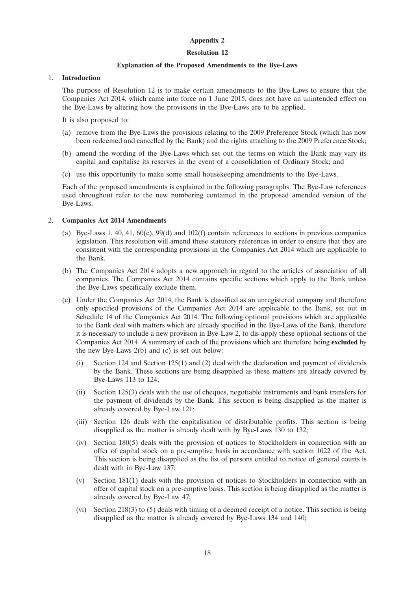#### **Appendix 2**

#### **Resolution 12**

#### **Explanation of the Proposed Amendments to the Bye-Laws**

#### 1. **Introduction**

The purpose of Resolution 12 is to make certain amendments to the Bye-Laws to ensure that the Companies Act 2014, which came into force on 1 June 2015, does not have an unintended effect on the Bye-Laws by altering how the provisions in the Bye-Laws are to be applied.

It is also proposed to:

- (a) remove from the Bye-Laws the provisions relating to the 2009 Preference Stock (which has now been redeemed and cancelled by the Bank) and the rights attaching to the 2009 Preference Stock;
- (b) amend the wording of the Bye-Laws which set out the terms on which the Bank may vary its capital and capitalise its reserves in the event of a consolidation of Ordinary Stock; and
- (c) use this opportunity to make some small housekeeping amendments to the Bye-Laws.

Each of the proposed amendments is explained in the following paragraphs. The Bye-Law references used throughout refer to the new numbering contained in the proposed amended version of the Bye-Laws.

#### 2. **Companies Act 2014 Amendments**

- (a) Bye-Laws 1, 40, 41,  $60(c)$ ,  $99(d)$  and  $102(f)$  contain references to sections in previous companies legislation. This resolution will amend these statutory references in order to ensure that they are consistent with the corresponding provisions in the Companies Act 2014 which are applicable to the Bank.
- (b) The Companies Act 2014 adopts a new approach in regard to the articles of association of all companies. The Companies Act 2014 contains specific sections which apply to the Bank unless the Bye-Laws specifically exclude them.
- (c) Under the Companies Act 2014, the Bank is classified as an unregistered company and therefore only specified provisions of the Companies Act 2014 are applicable to the Bank, set out in Schedule 14 of the Companies Act 2014. The following optional provisions which are applicable to the Bank deal with matters which are already specified in the Bye-Laws of the Bank, therefore it is necessary to include a new provision in Bye-Law 2, to dis-apply these optional sections of the Companies Act 2014. A summary of each of the provisions which are therefore being **excluded** by the new Bye-Laws 2(b) and (c) is set out below:
	- (i) Section 124 and Section 125(1) and (2) deal with the declaration and payment of dividends by the Bank. These sections are being disapplied as these matters are already covered by Bye-Laws 113 to 124;
	- (ii) Section 125(3) deals with the use of cheques, negotiable instruments and bank transfers for the payment of dividends by the Bank. This section is being disapplied as the matter is already covered by Bye-Law 121;
	- (iii) Section 126 deals with the capitalisation of distributable profits. This section is being disapplied as the matter is already dealt with by Bye-Laws 130 to 132;
	- (iv) Section 180(5) deals with the provision of notices to Stockholders in connection with an offer of capital stock on a pre-emptive basis in accordance with section 1022 of the Act. This section is being disapplied as the list of persons entitled to notice of general courts is dealt with in Bye-Law 137;
	- (v) Section 181(1) deals with the provision of notices to Stockholders in connection with an offer of capital stock on a pre-emptive basis. This section is being disapplied as the matter is already covered by Bye-Law 47;
	- (vi) Section 218(3) to (5) deals with timing of a deemed receipt of a notice. This section is being disapplied as the matter is already covered by Bye-Laws 134 and 140;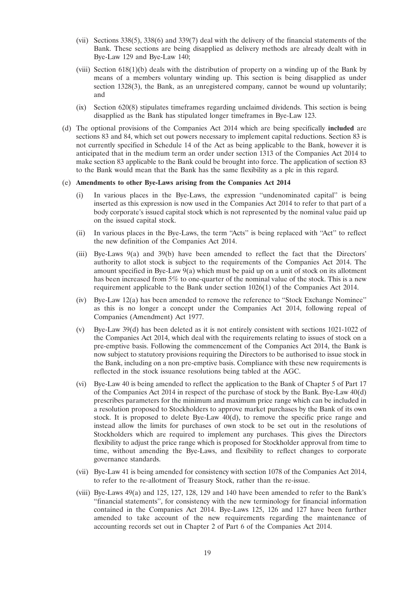- (vii) Sections 338(5), 338(6) and 339(7) deal with the delivery of the financial statements of the Bank. These sections are being disapplied as delivery methods are already dealt with in Bye-Law 129 and Bye-Law 140;
- (viii) Section 618(1)(b) deals with the distribution of property on a winding up of the Bank by means of a members voluntary winding up. This section is being disapplied as under section 1328(3), the Bank, as an unregistered company, cannot be wound up voluntarily; and
- (ix) Section 620(8) stipulates timeframes regarding unclaimed dividends. This section is being disapplied as the Bank has stipulated longer timeframes in Bye-Law 123.
- (d) The optional provisions of the Companies Act 2014 which are being specifically **included** are sections 83 and 84, which set out powers necessary to implement capital reductions. Section 83 is not currently specified in Schedule 14 of the Act as being applicable to the Bank, however it is anticipated that in the medium term an order under section 1313 of the Companies Act 2014 to make section 83 applicable to the Bank could be brought into force. The application of section 83 to the Bank would mean that the Bank has the same flexibility as a plc in this regard.

#### (e) **Amendments to other Bye-Laws arising from the Companies Act 2014**

- (i) In various places in the Bye-Laws, the expression ''undenominated capital'' is being inserted as this expression is now used in the Companies Act 2014 to refer to that part of a body corporate's issued capital stock which is not represented by the nominal value paid up on the issued capital stock.
- (ii) In various places in the Bye-Laws, the term ''Acts'' is being replaced with ''Act'' to reflect the new definition of the Companies Act 2014.
- (iii) Bye-Laws 9(a) and 39(b) have been amended to reflect the fact that the Directors' authority to allot stock is subject to the requirements of the Companies Act 2014. The amount specified in Bye-Law  $9(a)$  which must be paid up on a unit of stock on its allotment has been increased from 5% to one-quarter of the nominal value of the stock. This is a new requirement applicable to the Bank under section 1026(1) of the Companies Act 2014.
- (iv) Bye-Law 12(a) has been amended to remove the reference to ''Stock Exchange Nominee'' as this is no longer a concept under the Companies Act 2014, following repeal of Companies (Amendment) Act 1977.
- (v) Bye-Law 39(d) has been deleted as it is not entirely consistent with sections 1021-1022 of the Companies Act 2014, which deal with the requirements relating to issues of stock on a pre-emptive basis. Following the commencement of the Companies Act 2014, the Bank is now subject to statutory provisions requiring the Directors to be authorised to issue stock in the Bank, including on a non pre-emptive basis. Compliance with these new requirements is reflected in the stock issuance resolutions being tabled at the AGC.
- (vi) Bye-Law 40 is being amended to reflect the application to the Bank of Chapter 5 of Part 17 of the Companies Act 2014 in respect of the purchase of stock by the Bank. Bye-Law 40(d) prescribes parameters for the minimum and maximum price range which can be included in a resolution proposed to Stockholders to approve market purchases by the Bank of its own stock. It is proposed to delete Bye-Law 40(d), to remove the specific price range and instead allow the limits for purchases of own stock to be set out in the resolutions of Stockholders which are required to implement any purchases. This gives the Directors flexibility to adjust the price range which is proposed for Stockholder approval from time to time, without amending the Bye-Laws, and flexibility to reflect changes to corporate governance standards.
- (vii) Bye-Law 41 is being amended for consistency with section 1078 of the Companies Act 2014, to refer to the re-allotment of Treasury Stock, rather than the re-issue.
- (viii) Bye-Laws 49(a) and 125, 127, 128, 129 and 140 have been amended to refer to the Bank's ''financial statements'', for consistency with the new terminology for financial information contained in the Companies Act 2014. Bye-Laws 125, 126 and 127 have been further amended to take account of the new requirements regarding the maintenance of accounting records set out in Chapter 2 of Part 6 of the Companies Act 2014.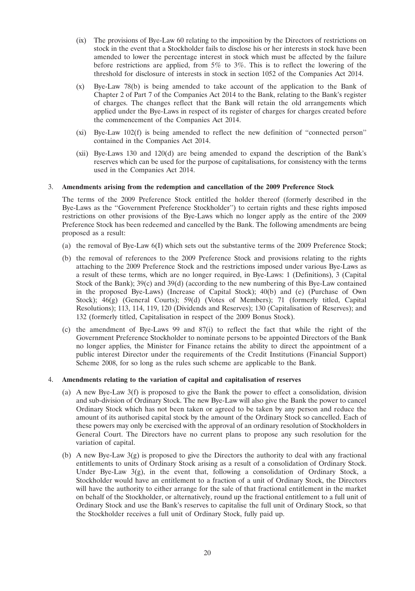- (ix) The provisions of Bye-Law 60 relating to the imposition by the Directors of restrictions on stock in the event that a Stockholder fails to disclose his or her interests in stock have been amended to lower the percentage interest in stock which must be affected by the failure before restrictions are applied, from 5% to 3%. This is to reflect the lowering of the threshold for disclosure of interests in stock in section 1052 of the Companies Act 2014.
- (x) Bye-Law 78(b) is being amended to take account of the application to the Bank of Chapter 2 of Part 7 of the Companies Act 2014 to the Bank, relating to the Bank's register of charges. The changes reflect that the Bank will retain the old arrangements which applied under the Bye-Laws in respect of its register of charges for charges created before the commencement of the Companies Act 2014.
- (xi) Bye-Law 102(f) is being amended to reflect the new definition of ''connected person'' contained in the Companies Act 2014.
- (xii) Bye-Laws 130 and 120(d) are being amended to expand the description of the Bank's reserves which can be used for the purpose of capitalisations, for consistency with the terms used in the Companies Act 2014.

#### 3. **Amendments arising from the redemption and cancellation of the 2009 Preference Stock**

The terms of the 2009 Preference Stock entitled the holder thereof (formerly described in the Bye-Laws as the ''Government Preference Stockholder'') to certain rights and these rights imposed restrictions on other provisions of the Bye-Laws which no longer apply as the entire of the 2009 Preference Stock has been redeemed and cancelled by the Bank. The following amendments are being proposed as a result:

- (a) the removal of Bye-Law 6(I) which sets out the substantive terms of the 2009 Preference Stock;
- (b) the removal of references to the 2009 Preference Stock and provisions relating to the rights attaching to the 2009 Preference Stock and the restrictions imposed under various Bye-Laws as a result of these terms, which are no longer required, in Bye-Laws: 1 (Definitions), 3 (Capital Stock of the Bank); 39(c) and 39(d) (according to the new numbering of this Bye-Law contained in the proposed Bye-Laws) (Increase of Capital Stock); 40(b) and (e) (Purchase of Own Stock); 46(g) (General Courts); 59(d) (Votes of Members); 71 (formerly titled, Capital Resolutions); 113, 114, 119, 120 (Dividends and Reserves); 130 (Capitalisation of Reserves); and 132 (formerly titled, Capitalisation in respect of the 2009 Bonus Stock).
- (c) the amendment of Bye-Laws 99 and 87(i) to reflect the fact that while the right of the Government Preference Stockholder to nominate persons to be appointed Directors of the Bank no longer applies, the Minister for Finance retains the ability to direct the appointment of a public interest Director under the requirements of the Credit Institutions (Financial Support) Scheme 2008, for so long as the rules such scheme are applicable to the Bank.

#### 4. **Amendments relating to the variation of capital and capitalisation of reserves**

- (a) A new Bye-Law 3(f) is proposed to give the Bank the power to effect a consolidation, division and sub-division of Ordinary Stock. The new Bye-Law will also give the Bank the power to cancel Ordinary Stock which has not been taken or agreed to be taken by any person and reduce the amount of its authorised capital stock by the amount of the Ordinary Stock so cancelled. Each of these powers may only be exercised with the approval of an ordinary resolution of Stockholders in General Court. The Directors have no current plans to propose any such resolution for the variation of capital.
- (b) A new Bye-Law 3(g) is proposed to give the Directors the authority to deal with any fractional entitlements to units of Ordinary Stock arising as a result of a consolidation of Ordinary Stock. Under Bye-Law 3(g), in the event that, following a consolidation of Ordinary Stock, a Stockholder would have an entitlement to a fraction of a unit of Ordinary Stock, the Directors will have the authority to either arrange for the sale of that fractional entitlement in the market on behalf of the Stockholder, or alternatively, round up the fractional entitlement to a full unit of Ordinary Stock and use the Bank's reserves to capitalise the full unit of Ordinary Stock, so that the Stockholder receives a full unit of Ordinary Stock, fully paid up.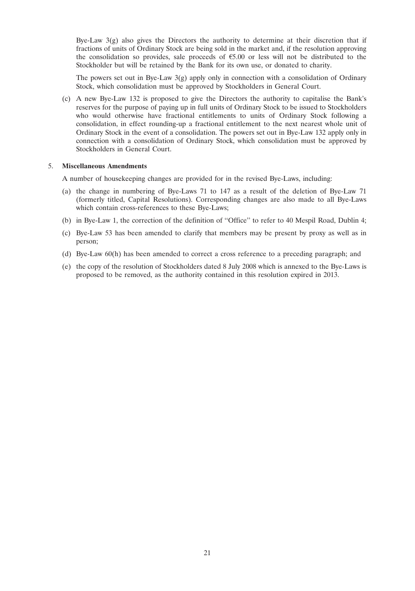Bye-Law 3(g) also gives the Directors the authority to determine at their discretion that if fractions of units of Ordinary Stock are being sold in the market and, if the resolution approving the consolidation so provides, sale proceeds of  $\epsilon$ 5.00 or less will not be distributed to the Stockholder but will be retained by the Bank for its own use, or donated to charity.

The powers set out in Bye-Law 3(g) apply only in connection with a consolidation of Ordinary Stock, which consolidation must be approved by Stockholders in General Court.

(c) A new Bye-Law 132 is proposed to give the Directors the authority to capitalise the Bank's reserves for the purpose of paying up in full units of Ordinary Stock to be issued to Stockholders who would otherwise have fractional entitlements to units of Ordinary Stock following a consolidation, in effect rounding-up a fractional entitlement to the next nearest whole unit of Ordinary Stock in the event of a consolidation. The powers set out in Bye-Law 132 apply only in connection with a consolidation of Ordinary Stock, which consolidation must be approved by Stockholders in General Court.

#### 5. **Miscellaneous Amendments**

A number of housekeeping changes are provided for in the revised Bye-Laws, including:

- (a) the change in numbering of Bye-Laws 71 to 147 as a result of the deletion of Bye-Law 71 (formerly titled, Capital Resolutions). Corresponding changes are also made to all Bye-Laws which contain cross-references to these Bye-Laws;
- (b) in Bye-Law 1, the correction of the definition of ''Office'' to refer to 40 Mespil Road, Dublin 4;
- (c) Bye-Law 53 has been amended to clarify that members may be present by proxy as well as in person;
- (d) Bye-Law 60(h) has been amended to correct a cross reference to a preceding paragraph; and
- (e) the copy of the resolution of Stockholders dated 8 July 2008 which is annexed to the Bye-Laws is proposed to be removed, as the authority contained in this resolution expired in 2013.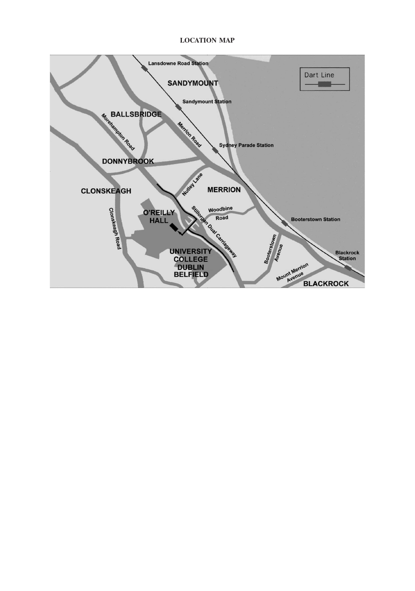# **LOCATION MAP**